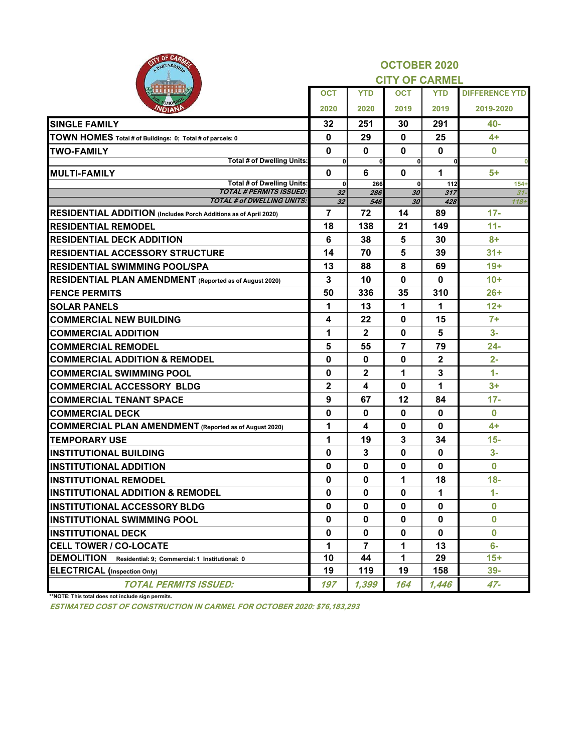| OF CARA                                                             |                             |                         | <b>OCTOBER 2020</b>          |              |                       |
|---------------------------------------------------------------------|-----------------------------|-------------------------|------------------------------|--------------|-----------------------|
|                                                                     |                             |                         | <b>CITY OF CARMEL</b>        |              |                       |
|                                                                     | <b>OCT</b>                  | <b>YTD</b>              | <b>OCT</b>                   | <b>YTD</b>   | <b>DIFFERENCE YTD</b> |
|                                                                     | 2020                        | 2020                    | 2019                         | 2019         | 2019-2020             |
| <b>SINGLE FAMILY</b>                                                | 32                          | 251                     | 30                           | 291          | 40-                   |
| TOWN HOMES Total # of Buildings: 0; Total # of parcels: 0           | 0                           | 29                      | $\mathbf 0$                  | 25           | $4+$                  |
| <b>TWO-FAMILY</b>                                                   | 0                           | $\mathbf{0}$            | $\mathbf{0}$                 | $\mathbf 0$  | $\bf{0}$              |
| <b>Total # of Dwelling Units:</b>                                   | $\mathbf{0}$                | $\mathbf{0}$            | $\mathbf{0}$                 | $\mathbf{0}$ |                       |
| <b>MULTI-FAMILY</b><br><b>Total # of Dwelling Units:</b>            | $\mathbf 0$<br>$\mathbf{0}$ | 6<br>266                | $\mathbf{0}$<br>$\mathbf{0}$ | 1<br>112     | $5+$<br>$154+$        |
| <b>TOTAL # PERMITS ISSUED:</b>                                      | 32                          | 286                     | 30                           | 317          | $31 -$                |
| <b>TOTAL # of DWELLING UNITS:</b>                                   | 32                          | 546                     | 30                           | 428          | $118 +$               |
| RESIDENTIAL ADDITION (Includes Porch Additions as of April 2020)    | $\overline{7}$              | 72                      | 14                           | 89           | $17 -$                |
| <b>RESIDENTIAL REMODEL</b>                                          | 18                          | 138                     | 21                           | 149          | $11 -$                |
| <b>RESIDENTIAL DECK ADDITION</b>                                    | 6                           | 38                      | 5                            | 30           | $8+$                  |
| <b>RESIDENTIAL ACCESSORY STRUCTURE</b>                              | 14                          | 70                      | 5                            | 39           | $31+$                 |
| <b>RESIDENTIAL SWIMMING POOL/SPA</b>                                | 13                          | 88                      | 8                            | 69           | $19+$                 |
| <b>RESIDENTIAL PLAN AMENDMENT</b> (Reported as of August 2020)      | 3                           | 10                      | $\mathbf{0}$                 | $\bf{0}$     | $10+$                 |
| <b>IFENCE PERMITS</b>                                               | 50                          | 336                     | 35                           | 310          | $26+$                 |
| <b>SOLAR PANELS</b>                                                 | 1                           | 13                      | 1                            | 1            | $12+$                 |
| <b>COMMERCIAL NEW BUILDING</b>                                      | 4                           | 22                      | $\mathbf 0$                  | 15           | $7+$                  |
| <b>COMMERCIAL ADDITION</b>                                          | 1                           | $\overline{2}$          | $\mathbf 0$                  | 5            | $3-$                  |
| <b>COMMERCIAL REMODEL</b>                                           | 5                           | 55                      | $\overline{7}$               | 79           | $24 -$                |
| <b>COMMERCIAL ADDITION &amp; REMODEL</b>                            | 0                           | $\mathbf 0$             | $\mathbf{0}$                 | $\mathbf 2$  | $2 -$                 |
| <b>COMMERCIAL SWIMMING POOL</b>                                     | 0                           | $\overline{2}$          | 1                            | 3            | $1 -$                 |
| <b>COMMERCIAL ACCESSORY BLDG</b>                                    | $\mathbf 2$                 | 4                       | $\mathbf{0}$                 | $\mathbf 1$  | $3+$                  |
| <b>COMMERCIAL TENANT SPACE</b>                                      | 9                           | 67                      | 12                           | 84           | $17 -$                |
| <b>COMMERCIAL DECK</b>                                              | $\mathbf{0}$                | $\mathbf 0$             | $\mathbf 0$                  | $\bf{0}$     | $\bf{0}$              |
| COMMERCIAL PLAN AMENDMENT (Reported as of August 2020)              | 1                           | $\overline{\mathbf{4}}$ | $\mathbf 0$                  | $\bf{0}$     | $4+$                  |
| <b>TEMPORARY USE</b>                                                | 1                           | 19                      | $\mathbf{3}$                 | 34           | $15 -$                |
| <b>INSTITUTIONAL BUILDING</b>                                       | 0                           | $\mathbf{3}$            | $\mathbf 0$                  | $\bf{0}$     | $3-$                  |
| <b>INSTITUTIONAL ADDITION</b>                                       | $\mathbf 0$                 | $\mathbf 0$             | $\bf{0}$                     | $\bf{0}$     | $\bf{0}$              |
| <b>INSTITUTIONAL REMODEL</b>                                        | $\mathbf 0$                 | $\mathbf 0$             | 1                            | 18           | $18-$                 |
| <b>INSTITUTIONAL ADDITION &amp; REMODEL</b>                         | $\mathbf 0$                 | $\mathbf 0$             | $\mathbf 0$                  | 1            | $1 -$                 |
| <b>INSTITUTIONAL ACCESSORY BLDG</b>                                 | 0                           | $\mathbf 0$             | $\mathbf 0$                  | $\mathbf 0$  | $\bf{0}$              |
| <b>INSTITUTIONAL SWIMMING POOL</b>                                  | $\mathbf 0$                 | $\mathbf{0}$            | $\mathbf{0}$                 | $\mathbf{0}$ | $\mathbf 0$           |
| <b>INSTITUTIONAL DECK</b>                                           | 0                           | $\mathbf 0$             | $\mathbf 0$                  | $\bf{0}$     | $\bf{0}$              |
| <b>CELL TOWER / CO-LOCATE</b>                                       | 1                           | $\overline{7}$          | 1                            | 13           | $6-$                  |
| <b>DEMOLITION</b><br>Residential: 9; Commercial: 1 Institutional: 0 | 10                          | 44                      | $\mathbf 1$                  | 29           | $15+$                 |
| <b>ELECTRICAL</b> (Inspection Only)                                 | 19                          | 119                     | 19                           | 158          | $39-$                 |
| <b>TOTAL PERMITS ISSUED:</b>                                        | 197                         | 1,399                   | 164                          | 1,446        | $47 -$                |

**\*\*NOTE: This total does not include sign permits.**

**ESTIMATED COST OF CONSTRUCTION IN CARMEL FOR OCTOBER 2020: \$76,183,293**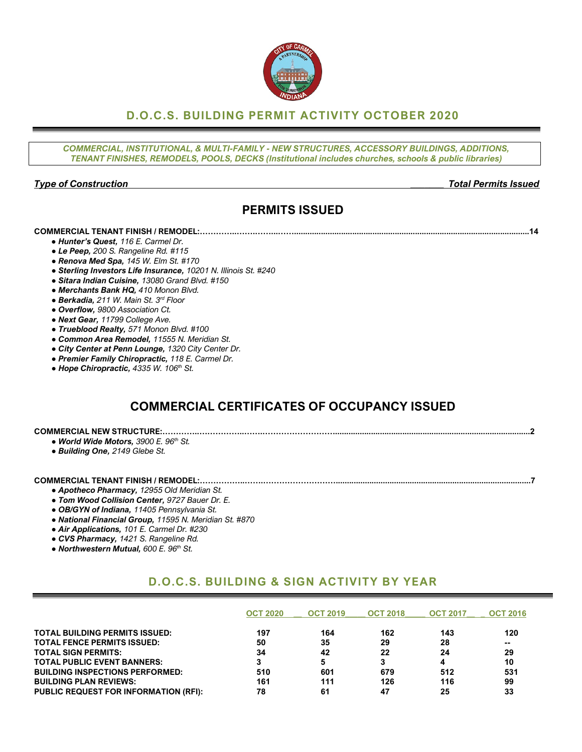## **D.O.C.S. BUILDING PERMIT ACTIVITY OCTOBER 2020**

*COMMERCIAL, INSTITUTIONAL, & MULTI-FAMILY - NEW STRUCTURES, ACCESSORY BUILDINGS, ADDITIONS, TENANT FINISHES, REMODELS, POOLS, DECKS (Institutional includes churches, schools & public libraries)*

#### *Type of Construction \_\_\_\_\_\_\_ Total Permits Issued*

# **PERMITS ISSUED**

#### **COMMERCIAL TENANT FINISH / REMODEL:…………..…….……...…….........................................................................................................14**

- *● Hunter's Quest, 116 E. Carmel Dr.*
- *● Le Peep, 200 S. Rangeline Rd. #115*
- *● Renova Med Spa, 145 W. Elm St. #170*
- *● Sterling Investors Life Insurance, 10201 N. Illinois St. #240*
- *● Sitara Indian Cuisine, 13080 Grand Blvd. #150*
- *● Merchants Bank HQ, 410 Monon Blvd.*
- *● Berkadia, 211 W. Main St. 3rd Floor*
- *● Overflow, 9800 Association Ct.*
- *● Next Gear, 11799 College Ave.*
- *● Trueblood Realty, 571 Monon Blvd. #100*
- *● Common Area Remodel, 11555 N. Meridian St.*
- *● City Center at Penn Lounge, 1320 City Center Dr.*
- *● Premier Family Chiropractic, 118 E. Carmel Dr.*
- *● Hope Chiropractic, 4335 W. 106th St.*

# **COMMERCIAL CERTIFICATES OF OCCUPANCY ISSUED**

| <b>COMMERCIAL NEW STRUCTURE:</b>             |  |
|----------------------------------------------|--|
| v <b>World Wide Motors,</b> 3900 E. 96th St. |  |
| $\sim$ $\sim$ $\sim$ $\sim$ $\sim$<br>$\sim$ |  |

*● Building One, 2149 Glebe St.*

#### **COMMERCIAL TENANT FINISH / REMODEL:……………..…….……………………….......................................................................................7**

- *● Apotheco Pharmacy, 12955 Old Meridian St.*
- *● Tom Wood Collision Center, 9727 Bauer Dr. E.*
- *● OB/GYN of Indiana, 11405 Pennsylvania St.*
- *● National Financial Group, 11595 N. Meridian St. #870*
- *● Air Applications, 101 E. Carmel Dr. #230*
- *● CVS Pharmacy, 1421 S. Rangeline Rd.*
- *● Northwestern Mutual, 600 E. 96th St.*

## **D.O.C.S. BUILDING & SIGN ACTIVITY BY YEAR**

|                                              | <b>OCT 2020</b> | <b>OCT 2019</b> | <b>OCT 2018</b> | <b>OCT 2017</b> | <b>OCT 2016</b> |
|----------------------------------------------|-----------------|-----------------|-----------------|-----------------|-----------------|
| <b>TOTAL BUILDING PERMITS ISSUED:</b>        | 197             | 164             | 162             | 143             | 120             |
| <b>TOTAL FENCE PERMITS ISSUED:</b>           | 50              | 35              | 29              | 28              | $- -$           |
| <b>TOTAL SIGN PERMITS:</b>                   | 34              | 42              | 22              | 24              | 29              |
| <b>TOTAL PUBLIC EVENT BANNERS:</b>           |                 | 5               |                 | 4               | 10              |
| <b>BUILDING INSPECTIONS PERFORMED:</b>       | 510             | 601             | 679             | 512             | 531             |
| <b>BUILDING PLAN REVIEWS:</b>                | 161             | 111             | 126             | 116             | 99              |
| <b>PUBLIC REQUEST FOR INFORMATION (RFI):</b> | 78              | 61              | 47              | 25              | 33              |

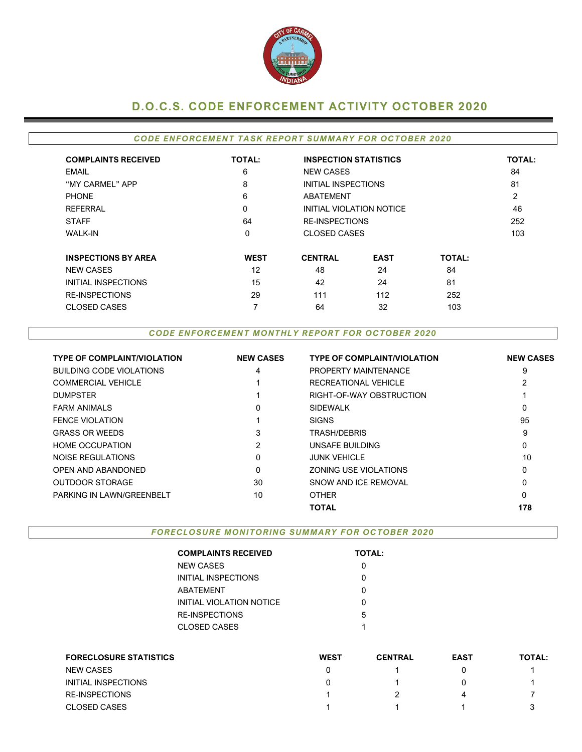

# **D.O.C.S. CODE ENFORCEMENT ACTIVITY OCTOBER 2020**

### *CODE ENFORCEMENT TASK REPORT SUMMARY FOR OCTOBER 2020*

| <b>COMPLAINTS RECEIVED</b> | <b>TOTAL:</b> | <b>INSPECTION STATISTICS</b> |                          |               | <b>TOTAL:</b> |
|----------------------------|---------------|------------------------------|--------------------------|---------------|---------------|
| EMAIL                      | 6             | <b>NEW CASES</b>             |                          |               | 84            |
| "MY CARMEL" APP            | 8             | INITIAL INSPECTIONS          |                          |               | 81            |
| <b>PHONE</b>               | 6             | ABATEMENT                    |                          |               | 2             |
| <b>REFERRAL</b>            | 0             |                              | INITIAL VIOLATION NOTICE |               | 46            |
| <b>STAFF</b>               | 64            | <b>RE-INSPECTIONS</b>        |                          |               | 252           |
| <b>WALK-IN</b>             | 0             | <b>CLOSED CASES</b>          |                          |               | 103           |
| <b>INSPECTIONS BY AREA</b> | <b>WEST</b>   | <b>CENTRAL</b>               | <b>EAST</b>              | <b>TOTAL:</b> |               |
| <b>NEW CASES</b>           | 12            | 48                           | 24                       | 84            |               |
| INITIAL INSPECTIONS        | 15            | 42                           | 24                       | 81            |               |
| <b>RE-INSPECTIONS</b>      | 29            | 111                          | 112                      | 252           |               |
| <b>CLOSED CASES</b>        | 7             | 64                           | 32                       | 103           |               |

#### *CODE ENFORCEMENT MONTHLY REPORT FOR OCTOBER 2020*

| <b>TYPE OF COMPLAINT/VIOLATION</b> | <b>NEW CASES</b> | <b>TYPE OF COMPLAINT/VIOLATION</b> | <b>NEW CASES</b> |
|------------------------------------|------------------|------------------------------------|------------------|
| <b>BUILDING CODE VIOLATIONS</b>    | 4                | PROPERTY MAINTENANCE               | 9                |
| <b>COMMERCIAL VEHICLE</b>          |                  | RECREATIONAL VEHICLE               |                  |
| <b>DUMPSTER</b>                    |                  | RIGHT-OF-WAY OBSTRUCTION           |                  |
| <b>FARM ANIMALS</b>                | 0                | <b>SIDEWALK</b>                    | 0                |
| <b>FENCE VIOLATION</b>             |                  | <b>SIGNS</b>                       | 95               |
| <b>GRASS OR WEEDS</b>              | 3                | TRASH/DEBRIS                       | 9                |
| <b>HOME OCCUPATION</b>             | 2                | UNSAFE BUILDING                    | 0                |
| NOISE REGULATIONS                  | 0                | <b>JUNK VEHICLE</b>                | 10               |
| OPEN AND ABANDONED                 | 0                | ZONING USE VIOLATIONS              | 0                |
| <b>OUTDOOR STORAGE</b>             | 30               | SNOW AND ICE REMOVAL               | 0                |
| PARKING IN LAWN/GREENBELT          | 10               | <b>OTHER</b>                       | 0                |
|                                    |                  | <b>TOTAL</b>                       | 178              |

*FORECLOSURE MONITORING SUMMARY FOR OCTOBER 2020*

| <b>TOTAL:</b> |
|---------------|
|               |
| ი             |
| ი             |
| O             |
| 5             |
| 1             |
|               |

| <b>FORECLOSURE STATISTICS</b> | <b>WEST</b> | <b>CENTRAL</b> | <b>EAST</b> | <b>TOTAL:</b> |
|-------------------------------|-------------|----------------|-------------|---------------|
| <b>NEW CASES</b>              |             |                |             |               |
| INITIAL INSPECTIONS           |             |                |             |               |
| <b>RE-INSPECTIONS</b>         |             |                |             |               |
| <b>CLOSED CASES</b>           |             |                |             |               |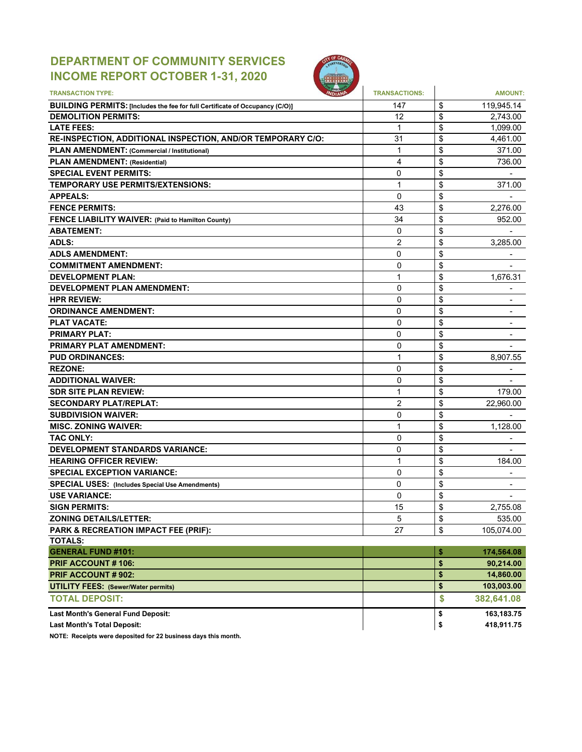# **DEPARTMENT OF COMMUNITY SERVICES INCOME REPORT OCTOBER 1-31, 2020**



| <b>TRANSACTION TYPE:</b>                                                            | <b>TRANSACTIONS:</b> | <b>AMOUNT:</b>       |
|-------------------------------------------------------------------------------------|----------------------|----------------------|
| <b>BUILDING PERMITS: [Includes the fee for full Certificate of Occupancy (C/O)]</b> | 147                  | \$<br>119,945.14     |
| <b>DEMOLITION PERMITS:</b>                                                          | 12                   | \$<br>2,743.00       |
| <b>LATE FEES:</b>                                                                   | 1                    | \$<br>1,099.00       |
| RE-INSPECTION, ADDITIONAL INSPECTION, AND/OR TEMPORARY C/O:                         | 31                   | \$<br>4,461.00       |
| <b>PLAN AMENDMENT: (Commercial / Institutional)</b>                                 | 1                    | \$<br>371.00         |
| <b>PLAN AMENDMENT: (Residential)</b>                                                | 4                    | \$<br>736.00         |
| <b>SPECIAL EVENT PERMITS:</b>                                                       | 0                    | \$                   |
| TEMPORARY USE PERMITS/EXTENSIONS:                                                   | 1                    | \$<br>371.00         |
| <b>APPEALS:</b>                                                                     | 0                    | \$                   |
| <b>FENCE PERMITS:</b>                                                               | 43                   | \$<br>2,276.00       |
| <b>FENCE LIABILITY WAIVER: (Paid to Hamilton County)</b>                            | 34                   | \$<br>952.00         |
| <b>ABATEMENT:</b>                                                                   | 0                    | \$                   |
| <b>ADLS:</b>                                                                        | 2                    | \$<br>3,285.00       |
| <b>ADLS AMENDMENT:</b>                                                              | 0                    | \$                   |
| <b>COMMITMENT AMENDMENT:</b>                                                        | 0                    | \$                   |
| <b>DEVELOPMENT PLAN:</b>                                                            | 1                    | \$<br>1,676.31       |
| <b>DEVELOPMENT PLAN AMENDMENT:</b>                                                  | 0                    | \$                   |
| <b>HPR REVIEW:</b>                                                                  | 0                    | \$                   |
| <b>ORDINANCE AMENDMENT:</b>                                                         | 0                    | \$                   |
| <b>PLAT VACATE:</b>                                                                 | 0                    | \$<br>$\blacksquare$ |
| <b>PRIMARY PLAT:</b>                                                                | 0                    | \$                   |
| <b>PRIMARY PLAT AMENDMENT:</b>                                                      | 0                    | \$                   |
| <b>PUD ORDINANCES:</b>                                                              | 1                    | \$<br>8,907.55       |
| <b>REZONE:</b>                                                                      | 0                    | \$                   |
| <b>ADDITIONAL WAIVER:</b>                                                           | 0                    | \$                   |
| <b>SDR SITE PLAN REVIEW:</b>                                                        | 1                    | \$<br>179.00         |
| <b>SECONDARY PLAT/REPLAT:</b>                                                       | $\overline{2}$       | \$<br>22,960.00      |
| <b>SUBDIVISION WAIVER:</b>                                                          | 0                    | \$                   |
| <b>MISC. ZONING WAIVER:</b>                                                         | 1                    | \$<br>1,128.00       |
| <b>TAC ONLY:</b>                                                                    | 0                    | \$                   |
| <b>DEVELOPMENT STANDARDS VARIANCE:</b>                                              | 0                    | \$                   |
| <b>HEARING OFFICER REVIEW:</b>                                                      | 1                    | \$<br>184.00         |
| <b>SPECIAL EXCEPTION VARIANCE:</b>                                                  | 0                    | \$                   |
| <b>SPECIAL USES: (Includes Special Use Amendments)</b>                              | 0                    | \$                   |
| <b>USE VARIANCE:</b>                                                                | 0                    | \$<br>$\blacksquare$ |
| <b>SIGN PERMITS:</b>                                                                | 15                   | \$<br>2,755.08       |
| <b>ZONING DETAILS/LETTER:</b>                                                       | 5                    | \$<br>535.00         |
| PARK & RECREATION IMPACT FEE (PRIF):                                                | 27                   | \$<br>105,074.00     |
| <b>TOTALS:</b>                                                                      |                      |                      |
| <b>GENERAL FUND #101:</b>                                                           |                      | \$<br>174,564.08     |
| <b>PRIF ACCOUNT#106:</b>                                                            |                      | \$<br>90,214.00      |
| PRIF ACCOUNT # 902:                                                                 |                      | \$<br>14,860.00      |
| <b>UTILITY FEES: (Sewer/Water permits)</b>                                          |                      | \$<br>103,003.00     |
| <b>TOTAL DEPOSIT:</b>                                                               |                      | \$<br>382,641.08     |
| Last Month's General Fund Deposit:                                                  |                      | \$<br>163,183.75     |
| <b>Last Month's Total Deposit:</b>                                                  |                      | \$<br>418,911.75     |

**NOTE: Receipts were deposited for 22 business days this month.**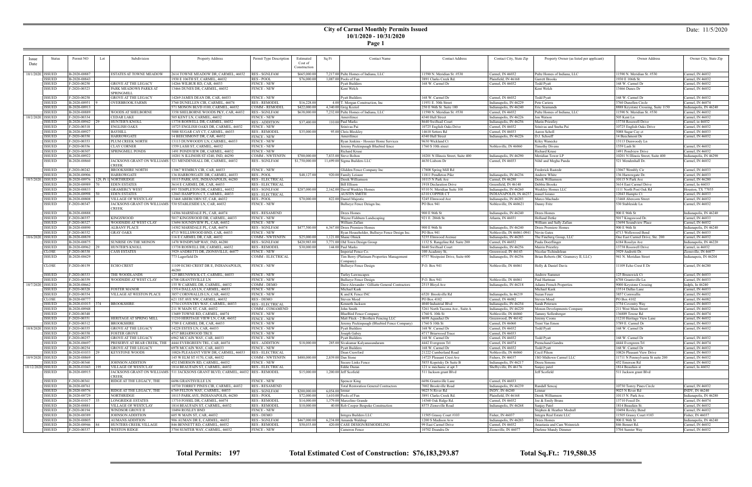## **City of Carmel Monthly Permits Issued 10/1/2020 - 10/31/2020**

**Page 1**

| <i>ssue</i>        | Status                         | Permit NO                       | Subdivision<br>Lot                                       | <b>Property Address</b>                                                             | Permit Type Description                         | Estimated      | Sq Ft             | <b>Contact Name</b>                                 | <b>Contact Address</b>                            | Contact City, State Zip                    | Property Owner (as listed per applicant)            | Owner Address                      | Owner City, State Zip                |
|--------------------|--------------------------------|---------------------------------|----------------------------------------------------------|-------------------------------------------------------------------------------------|-------------------------------------------------|----------------|-------------------|-----------------------------------------------------|---------------------------------------------------|--------------------------------------------|-----------------------------------------------------|------------------------------------|--------------------------------------|
| Date               |                                |                                 |                                                          |                                                                                     |                                                 | Cost of        |                   |                                                     |                                                   |                                            |                                                     |                                    |                                      |
|                    |                                |                                 |                                                          |                                                                                     |                                                 | Construction   |                   |                                                     |                                                   |                                            |                                                     |                                    |                                      |
| 10/1/2020   ISSUED |                                | B-2020-00887                    | ESTATES AT TOWNE MEADOW                                  | 2614 TOWNE MEADOW DR, CARMEL, 46032   RES - SGNLFAM                                 |                                                 | \$665,000.00   |                   | 7,217.00 Pulte Homes of Indiana, LLC                | 11590 N. Meridian St. #530                        | Carmel, IN 46032                           | Pulte Homes of Indiana, LLC                         | 11590 N. Meridian St. #530         | Carmel, IN 46032                     |
|                    | ISSUED                         | B-2020-00843                    |                                                          | 1930 E 106TH ST, CARMEL, 46032                                                      | <b>RES - POOL</b>                               | \$76,000.00    |                   | $1,087.00$ Pools of Fun                             | 3891 Clarks Creek Rd.                             | Plainfield, IN 46168                       | Garrett Brooks                                      | 1930 E 106th St                    | Carmel, IN 46032                     |
|                    | <b>ISSUED</b>                  | F-2020-00250                    | <b>GROVE AT THE LEGACY</b>                               | 14266 WILBUR RD, CAR, 46033                                                         | <b>FENCE - NEW</b>                              |                |                   | <b>Pyatt Builders</b>                               | 168 W. Carmel Dr                                  | Carmel, IN 46032                           | <b>Todd Pyatt</b>                                   | 168 W. Carmel Dr                   | Carmel, IN 46032                     |
|                    | <b>ISSUED</b>                  | F-2020-00323                    | PARK MEADOWS PARKS AT                                    | 13466 DUNES DR, CARMEL, 46032                                                       | <b>FENCE - NEW</b>                              |                |                   | Kent Welch                                          |                                                   |                                            | Kent Welch                                          | 13466 Dunes Dr                     | Carmel, IN 46032                     |
|                    |                                |                                 | SPRINGMILL                                               |                                                                                     |                                                 |                |                   |                                                     |                                                   |                                            |                                                     |                                    |                                      |
|                    | <b>ISSUED</b>                  | F-2020-00258                    | <b>GROVE AT THE LEGACY</b>                               | 14269 JAMES DEAN DR, CAR, 46033                                                     | <b>FENCE - NEW</b>                              |                |                   | <b>Pyatt Builders</b>                               | 168 W. Carmel Dr                                  | Carmel, IN 46032                           | Todd Pyatt                                          | 168 W. Carmel Dr                   | Carmel, IN 46032                     |
|                    | <b>ISSUED</b>                  | B-2020-00951                    | <b>OVERBROOK FARMS</b>                                   | 3760 DUNELLEN CIR, CARMEL, 46074                                                    | <b>RES - REMODEI</b>                            | \$16,228.00    |                   | 4.00 T. Morgan Construction, Inc.                   | 11951 E. 30th Street                              | Indianapolis, IN 46229                     | Pete Cariera                                        | 3760 Dunellen Circle               | Carmel, IN 46074                     |
|                    | <b>ISSUED</b>                  | B-2020-00913                    |                                                          | 571 MONON BLVD #100, CARMEL, 46032                                                  | <b>COMM - REMODEI</b>                           | \$422,000.00   |                   | 4,340.00 Greg Koziol                                | 250 E 96th St. Suite 100                          | Indianapolis, IN 46240                     | Eric Seamands                                       | 8888 Keystone Crossing, Suite 1150 | Indianapolis, IN 46240               |
|                    | <b>ISSUED</b>                  | B-2020-00889                    | WOODS AT SHELBORNE                                       | 3358 SHELBORNE WOODS PKY, CAR, 46032                                                | <b>RES - SGNLFAM</b>                            | \$638,000.00   |                   | 7,232.00 Pulte Homes of Indiana, LLC                | 11590 N. Meridian St. #530                        | Carmel, IN 46032                           | Pulte Homes of Indiana, LLC                         | 11590 N. Meridian St. #530         | Carmel, IN 46032                     |
| 10/2/2020 ISSUED   |                                | F-2020-00334                    | <b>CEDAR LAKE</b>                                        | 505 KENT LN, CARMEL, 46032                                                          | <b>FENCE - NEW</b>                              |                |                   | Amerifence                                          | 4340 Hull Street                                  | Indianapolis, IN 46226                     | Jon Watson                                          | 505 Kent Ln                        | Carmel, IN 46032                     |
|                    | ISSUED                         | B-2020-00942                    | HUNTER'S KNOLL                                           | 13738 ROSWELL DR, CARMEL, 46032                                                     | <b>RES - ADDITION</b>                           | \$37,400.00    |                   | 110.00 Paul Marks                                   | 8640 Swiftsail Court                              | Indianapolis, IN 46256                     | Marin Priestley                                     | 13738 Rosswell Drive               | Carmel, in 46032                     |
|                    | <b>ISSUED</b>                  | F-2020-00318                    | <b>ENGLISH OAKS</b>                                      | 10725 ENGLISH OAKS DR. CARMEL, 46032                                                | <b>FENCE - NEW</b>                              |                |                   | Srinivas Pai                                        | 10725 English Oaks Drive                          | Carmel, IN 46032                           | Srinivas and Sneha Pai                              | 10725 English Oaks Drive           | Carmel, IN 46032                     |
|                    | <b>ISSUED</b>                  | B-2020-00927                    | <b>BAYHILL</b>                                           | 5088 SUGAR CAY CT, CARMEL, 46033                                                    | <b>RES - REMODEI</b>                            | \$35,000.00    |                   | 95.00 Chris Bleckley                                | 14610 Setters Rd                                  | Carmel, IN 46033                           | Aaron Scholl                                        | 5088 Sugar Cay ct                  | Carmel, IN 46033                     |
|                    | <b>ISSUED</b>                  | F-2020-00350                    | <b>HARROWGATE</b>                                        | 14 BEECHMONT DR, CAR, 46032                                                         | <b>FENCE - NEW</b>                              |                |                   | Amerifence                                          | 4340 Hull Street                                  | Indianapolis, IN 46226                     | D.J. Schoeff                                        | 14 Beechmont Dr                    | Carmel, IN 46032                     |
|                    | ISSUED                         | F-2020-00353                    | PLUM CREEK NORTH                                         | 13113 DUNWOODY LN, CARMEL, 46033                                                    | <b>FENCE - NEW</b>                              |                |                   | Ryan Jenkins - Hoosier Home Services                | 9630 Wickland C                                   |                                            | Kiley Wanecke                                       | 13113 Dunwoody Ln                  |                                      |
|                    | <b>ISSUED</b>                  | F-2020-00356                    | <b>CLAY CORNER</b>                                       | 1559 LASH ST, CARMEL, 46032                                                         | <b>FENCE - NEW</b>                              |                |                   | Jeremy Peckinpaugh Bluebird fence                   | 1760 S 10th street                                | Noblesville, IN 46060                      | <b>Timothy Divens</b>                               | 1559 Lash St                       | Carmel, IN 46032                     |
|                    | <b>ISSUED</b>                  | F-2020-00307                    | <b>SPRINGMILL PONDS</b>                                  | 1491 PONDVIEW DR, CARMEL, 46032                                                     | <b>FENCE - NEW</b>                              |                |                   | Richard Kruse                                       |                                                   |                                            | Richard Kruse                                       | 1491 Pondview Drive                | Carmel, IN 46032                     |
|                    | ISSUED                         | B-2020-00922                    |                                                          | 10201 N ILLINOIS ST #240, IND, 46290                                                | <b>COMM - NWTENFIN</b>                          | \$700,000.00   |                   | 7,833.00 Steve Bolton                               | 10201 N Illinois Street, Suite 400                | Indianapolis, IN 46290                     | Meridian Tower LP                                   | 10201 N Illinois Street, Suite 400 | Indianapolis, IN 46290               |
|                    | <b>ISSUED</b>                  | B-2020-00860                    |                                                          | JACKSONS GRANT ON WILLIAMS   521 MENDENHALL DR, CARMEL, 46032                       | <b>RES - SGNLFAM</b>                            | \$1,750,000.00 |                   | 11,699.00 Sigma Builders LLC                        | 4630 Lisborn Dr                                   | Carmel, IN 46033                           | Nihil and Megha Panda                               | 521 Mendenhall Dr.                 | Carmel, IN 46032                     |
|                    |                                |                                 | CREEK                                                    |                                                                                     |                                                 |                |                   |                                                     |                                                   |                                            |                                                     |                                    |                                      |
|                    | ISSUED                         | F-2020-00242                    | <b>BROOKSHIRE NORTH</b>                                  | 13067 WEMBLY CIR, CAR, 46033                                                        | <b>FENCE - NEW</b>                              |                |                   | Glidden Fence Company Inc                           | 17808 Spring Mill Rd                              |                                            | Frederick Rastede                                   | 13067 Wembly Cir                   | Carmel, IN 46033                     |
|                    | <b>ISSUED</b>                  | B-2020-00906                    | <b>HARROWGATE</b>                                        | 136 HARROWGATE DR, CARMEL, 46033                                                    | <b>RES-POOL</b>                                 | \$48,127.00    |                   | 920.00 Family Leisure                               | 11811 Pendleton Pike                              | Indianapolis, IN 46236                     | Andrew White                                        | 136 Harrowgate Dr.                 | Carmel, IN 46033                     |
| 10/5/2020 ISSUED   |                                | B-2020-00976                    | 129, Pt 1. NORTHRIDGE                                    | 10115 PARK AVE, INDIANAPOLIS, 46280                                                 | <b>RES - ELECTRICAL</b>                         |                |                   | Derek Williamson                                    | 10115 N Park Ave                                  | Carmel, IN 46280                           | Derek Williamson                                    | 10115 N Park Ave                   | Carmel, IN 46280                     |
|                    | <b>ISSUED</b>                  | B-2020-00989                    | <b>EDEN ESTATES</b>                                      | 3614 E CARMEL DR, CAR, 46033                                                        | <b>RES - ELECTRICAL</b>                         |                |                   | <b>Bill Ellison</b>                                 | 1918 Declaration Drive                            | Greenfield, IN 46140                       | Debbie Brooks                                       | 3614 East Carmel Drive             | Carmel, In 46033                     |
|                    | <b>ISSUED</b>                  | B-2020-00833                    | <b>GRAMERCY WEST</b>                                     |                                                                                     |                                                 |                |                   |                                                     | 9310 N. Meridian Suite 100                        |                                            | Weekley Homes LLC                                   | 1111 North Post Oak Rd             | Houston, TX 77055                    |
|                    | <b>ISSUED</b>                  | B-2020-00998                    | <b>EDEN ESTATES</b>                                      | 893 TEMPLETON DR, CARMEL, 46032<br>12043 HAMPTON CT, CARMEL, 46033                  | <b>RES - SGNLFAM</b><br><b>RES - ELECTRICAL</b> | \$287,000.00   |                   | 2,162.00 David Weekley Homes<br><b>AUSTIN SMITH</b> |                                                   | Indianapolis, IN 46260                     |                                                     | 12043 Hampto Ct                    | Carmel, IN 46033                     |
|                    |                                |                                 |                                                          |                                                                                     |                                                 |                |                   |                                                     | 6310 COPPER CT                                    | INDIANAPOLIS, IN 46237   mauel lozano      |                                                     |                                    |                                      |
|                    | <b>ISSUED</b>                  | B-2020-00808                    | VILLAGE OF WESTCLAY                                      | 13468 ABERCORN ST, CAR, 46032                                                       | <b>RES - POOL</b>                               | \$70,000.00    |                   | 822.00 Daniel Majestic                              | 5245 Elmwood Ave                                  | Indianapolis, IN 46203                     | Marco Machado                                       | 13468 Abercorn Street              | Carmel, IN 46032                     |
|                    | <b>ISSUED</b>                  | F-2020-00347                    | JACKSONS GRANT ON WILLIAMS 530 STABLESIDE LN, CAR, 46032 |                                                                                     | <b>FENCE - NEW</b>                              |                |                   | Bullseye Fence Deisgn Inc.                          | PO Box 941                                        | Noblesville, IN 460621                     | Danny Fritz                                         | 530 Stableside Ln                  | Carmel, IN 46032                     |
|                    |                                |                                 | CREEK                                                    |                                                                                     |                                                 |                |                   |                                                     |                                                   |                                            |                                                     |                                    |                                      |
|                    | <b>ISSUED</b>                  | B-2020-00888                    |                                                          | 14306 MARSDALE PL, CAR, 46074                                                       | <b>RES - RESAMEND</b>                           |                |                   | Drees Homes                                         | 900 E 96th St                                     | Indianapolis, IN 46240                     | Drees Homes                                         | 900 E 96th St                      | Indianapolis, IN 46240               |
|                    | <b>ISSUED</b>                  | F-2020-00357                    | <b>KINGSWOOD</b>                                         | 5017 KINGSWOOD DR, CARMEL, 46033                                                    | <b>FENCE - NEW</b>                              |                |                   | Wayne Fishburn Landscaping                          | 921 E. 286th St.                                  | Atlanta, IN 46031                          | <b>Holland Detke</b>                                | 5017 Kingswood Dr.                 | Carmel, IN 46033                     |
|                    | <b>ISSUED</b>                  | F-2020-00327                    | WOODSIDE AT WEST CLAY                                    | 13694 SOUNDVIEW PL, CAR, 46032                                                      | <b>FENCE - NEW</b>                              |                |                   | William Zafian                                      |                                                   |                                            | William and Sally Zafian                            | 13694 Soundview Place              | Carmel, IN 46032                     |
|                    | <b>ISSUED</b>                  | B-2020-00890                    | <b>ALBANY PLACE</b>                                      | 14302 MARSDALE PL, CAR, 46074                                                       | <b>RES - SGNLFAM</b>                            | \$477,500.00   |                   | 6,367.00 Drees Premiere Homes                       | 900 E 96th St                                     | Indianapolis, IN 46240                     | Drees Premiere Homes                                | 900 E 96th St                      | Indianapolis, IN 46240               |
|                    | <b>ISSUED</b>                  | F-2020-00352                    | <b>GRAY OAKS</b>                                         | 4713 WELLSWOOD BND, CAR, 46033                                                      | <b>FENCE - NEW</b>                              |                |                   | Ryan Householder, Bullseye Fence Design Inc.        | PO Box 941                                        | Noblesville, IN 46061-0941                 | Nevin Gates                                         | 4713 Wellswood Bend                | Carmel, IN 46033                     |
| 10/6/2020   ISSUED |                                | B-2020-00839                    |                                                          | 116 E CARMEL DR, CAR, 46032                                                         | <b>COMM - NWTENFIN</b>                          | \$25,000.00    |                   | $1,121.00$ Shane Olnick                             | 5235 Elmwood Avenue                               | Indianapolis, IN 46203                     | The Fineberg Group, LLC                             | One East Carmel Drive, Ste. 200    | Carmel, IN 46032                     |
|                    | <b>ISSUED</b>                  | B-2020-00875                    | <b>SUNRISE ON THE MONON</b>                              | 1470 WINDPUMP WAY, IND, 46280                                                       | <b>RES - SGNLFAM</b>                            | \$420,983.00   |                   | 3,771.00 Old Town Design Group                      | 1132 S. Rangeline Rd. Suite 200                   | Carmel, IN 46032                           | Paula Doerflinger                                   | 6184 Rosslyn Ave                   | Indianapolis, IN 46220               |
|                    | <b>ISSUED</b>                  | B-2020-00962 29                 | <b>HUNTER'S KNOLL</b>                                    | 13738 ROSWELL DR, CARMEL, 46032                                                     | <b>RES - REMODEL</b>                            | \$30,000.00    |                   | 144.00 Paul Marks                                   | 8640 Swiftsail Court                              | Indianapolis, IN 46256                     | Mairin Priestley                                    | 13738 Rosswell Drive               | Carmel, in 46032                     |
|                    | <b>CLOSE</b>                   | F-2020-00338                    | <b>CASS ESTATES</b>                                      | 3929 ANDRETTI DR, ZIONSVILLE, 46077                                                 | <b>FENCE - NEW</b>                              |                |                   | imperial Fence Co.                                  | 100 Academy St,                                   | Greenwood, IN 46143                        | Nicolae Tichindelean                                | 3929 Andretti Dr.                  | Zionsville, IN 46077                 |
|                    | <b>ISSUED</b>                  |                                 |                                                          |                                                                                     |                                                 |                |                   |                                                     |                                                   |                                            |                                                     |                                    |                                      |
|                    |                                | B-2020-00429                    |                                                          | 773 Lagerfield Dr                                                                   | COMM - ELECTRICAL                               |                |                   | Tim Berry (Platinum Properties Management           | 9757 Westpoint Drive, Suite 600                   | Indianapolis, IN 46256                     | Brian Roberts (BC Gramercy II, LLC)                 | 941 N. Meridian Street             | Indianapois, IN 46204                |
|                    |                                |                                 |                                                          |                                                                                     |                                                 |                |                   | Company)                                            |                                                   |                                            |                                                     |                                    |                                      |
|                    | <b>CLOSE</b>                   | F-2020-00159                    | ECHO CREST                                               | 1109 ECHO CREST DR E, INDIANAPOLIS,                                                 | <b>FENCE - NEW</b>                              |                |                   | Bullseye Fence Design                               | P.O. Box 941                                      | Noblesville, IN 46061                      | Holly & Daniel Davis                                | 11109 Echo Crest E Dr              | Carmel, IN 46280                     |
|                    |                                |                                 |                                                          | 46280                                                                               |                                                 |                |                   |                                                     |                                                   |                                            |                                                     |                                    |                                      |
|                    | ISSUED                         | F-2020-00333                    | THE WOODLANDS                                            | 125 BRUNSWICK CT, CARMEL, 46033                                                     | <b>FENCE - NEW</b>                              |                |                   | Turley Lawnscapes                                   |                                                   |                                            | Andrew Summer                                       | 125 Brunswick Ct                   | Carmel, IN 46033                     |
|                    | <b>ISSUED</b>                  | F-2020-00359                    | WOODSIDE AT WEST CLAY                                    | <b>6708 GRANTSVILLE LN</b>                                                          | <b>FENCE - NEW</b>                              |                |                   | <b>Bullseye Fence Design</b>                        | P.O. Box 941                                      | Noblesville, IN 46061                      | Paul Hartman                                        | 6708 Grantsville Ln                | Carmel, IN 46033                     |
| 10/7/2020   ISSUED |                                | B-2020-00662                    |                                                          | 155 W CARMEL DR, CARMEL, 46032                                                      | $\overline{\text{COMM}}$ - DEMO                 |                |                   | Dave Alexander / Gilliatte General Contractors      | 2515 Bloyd Ave                                    | Indianapolis, IN 46218                     | <b>Adams French Properties</b>                      | 9000 Keystone Crossing             | Indpls, In 46240                     |
|                    | ISSUED                         | F-2020-00328                    | <b>FOSTER MANOR</b>                                      | 13514 DALLAS LN, CARMEL, 46033                                                      | <b>FENCE - NEW</b>                              |                |                   | Michael Kask                                        |                                                   |                                            | Michael Kask                                        | 13514 Dallas Lane                  | Carmel, IN 46033                     |
|                    | <b>ISSUED</b>                  | F-2020-00354                    | VILLAGE AT WESTON PLACE                                  | 3857 CORNWALLIS LN, CAR, 46032                                                      | <b>FENCE - NEW</b>                              |                |                   | K and K Fence INC                                   | 6520 Brookville Rd                                | Indianapolis, In 46219                     | Suzan Feuer                                         | 3857 Cornwallis                    | Carmel, IN 46032                     |
|                    | <b>CLOSE</b>                   | B-2020-00777                    |                                                          | 621 1ST AVE NW, CARMEL, 46032                                                       | <b>RES - DEMO</b>                               |                |                   | Steven Moed                                         | PO Box 4102                                       | Carmel, IN 46082                           | Steven Moed                                         | PO Box 4102                        | Carmel, IN 46082                     |
|                    | ISSUED                         | $B-2020-01015$ 374              | <b>BROOKSHIRE</b>                                        | 3754 COVENTRY WAY, CARMEL, 46033                                                    | <b>RES - ELECTRICAL</b>                         |                |                   | Kenneth Jackson                                     | 4040 Industrial Blvd                              | Indianapolis, IN 46254                     | Sarah Petersen                                      | 3754 Coventry Way                  | Carmel, IN 46033                     |
|                    | <b>ISSUED</b>                  | B-2020-00948                    |                                                          | 211 W MAIN ST, CAR, 46032                                                           | COMM - COMAMEND                                 |                |                   | John Smith                                          | 5261 North Tacoma Ave., Suite A                   | Indianapolis, IN 46220                     | Monon Developments Company                          | 211 West Main Street               | Carmel, IN 46032                     |
|                    | <b>ISSUED</b>                  | F-2020-00348                    |                                                          | 13689 TOWNE RD, CARMEL, 46074                                                       | <b>FENCE - NEW</b>                              |                |                   | BlueBird Fence Company                              | 1760 S. 10th St                                   | Noblesville, IN 46060                      | Tammy Sollenberger                                  | 136889 Towne Rd                    | Carmel, IN 46074                     |
|                    | <b>ISSUED</b>                  | F-2020-00351                    | HERITAGE AT SPRING MILI                                  | 11210 HERITAGE VIEW LN, CAR, 46032                                                  | <b>FENCE - NEW</b>                              |                |                   | Matt Fleck - 2 Brothers Fencing LLC                 | 4698 Aquaduct Dr                                  | Greenwood, IN 46142                        | Jeremy Coons                                        | 11210 Heritage View Lane           | Carmel, IN 46032                     |
|                    | <b>ISSUED</b>                  | F-2020-00312                    | <b>BROOKSHIRE</b>                                        | 3789 E CARMEL DR, CAR, 46033                                                        | <b>FENCE - NEW</b>                              |                |                   | Jeremy Peckinpaugh (Bluebird Fence Company)         | 1760 S 10th St                                    | Carmel, IN 46060                           | Trent Van Emon                                      | 3789 E. Carmel Dr                  | Carmel, IN 46033                     |
|                    | 10/8/2020 LISSUED              | $F - 2020 - 00355$              | <b>GROVE AT THE LEGACY</b>                               | 14228 ESTES LN. CAR. 46033                                                          | <b>FENCE - NEW</b>                              |                |                   | Pyatt Builders                                      | 168 W. Carmel Dr                                  | Carmel, IN 46032                           | Todd Pyati                                          | 168 W. Carmel Dr                   | Carmel, IN 46032                     |
|                    | ISSUED                         | F-2020-00358                    | <b>FOSTER GROVE</b>                                      | 4717 BRIARWOOD TRCE                                                                 | <b>FENCE - NEW</b>                              |                |                   | Joseph Gabey                                        | 4717 Briarwood Trace                              | Carmel, IN 46033                           |                                                     |                                    |                                      |
|                    | <b>ISSUED</b>                  | F-2020-00257                    | GROVE AT THE LEGACY                                      | 6962 MCCAIN WAY, CAR, 46033                                                         | <b>FENCE - NEW</b>                              |                |                   | <b>Pyatt Builders</b>                               | 168 W. Carmel Dr                                  | Carmel, IN 46032                           | <b>Todd Pyatt</b>                                   | 168 W. Carmel Dr                   | Carmel, IN 46032                     |
|                    | <b>ISSUED</b>                  | B-2020-00697                    |                                                          | PRESERVE AT BEAR CREEK, THE 4444 EVERGREEN TRL, CAR, 46074                          | <b>RES - ADDITION</b>                           | \$18,000.00    |                   | 285.00 Sivakumar Kalyanasundaram                    |                                                   | Carmel, IN 46074                           | Premchand Gandra                                    | 4444 Evergreen Trl                 | Carmel, IN 46074                     |
|                    | <b>ISSUED</b>                  | F-2020-00254                    | <b>GROVE AT THE LEGACY</b>                               | 6978 MCCAIN WAY, CAR, 46033                                                         | <b>FENCE - NEW</b>                              |                |                   | <b>Pyatt Builders</b>                               | 4442 Evergreen Trl<br>168 W. Carmel Dr            | Carmel, IN 46032                           |                                                     | 168 W. Carmel Dr                   | Carmel, IN 46032                     |
|                    | <b>ISSUED</b>                  | B-2020-01033 29                 | <b>KEYSTONE WOODS</b>                                    |                                                                                     |                                                 |                |                   | Dean Crawford                                       |                                                   |                                            | <b>Todd Pyatt</b><br>Cecil Pilson                   | 10826 Pleasant View Drive          | Carmel, IN 46033                     |
|                    |                                | B-2020-00869                    |                                                          | 10826 PLEASANT VIEW DR, CARMEL, 46033<br>145 W ELM ST #170, CAR, 46032              | RES - ELECTRICAL<br><b>COMM - NWTENFIN</b>      | \$480,000.00   |                   | 2,839.00 Dan Stone                                  | 21222 Cumberland Road<br>14725 Pleasant Crest Ave | Noblesville, IN 46060<br>Fishers, IN 46037 | 1SO Midtown Carmel LLC                              |                                    | Carmel, IN 46032                     |
| 10/9/2020   ISSUED |                                |                                 |                                                          | 452 EMERSON RD, CARMEL, 46032                                                       |                                                 |                |                   |                                                     |                                                   |                                            |                                                     | 11711 N Pennsylvania St suite 200  |                                      |
|                    | ISSUED                         | F-2020-00360                    | JOHNSON ADDITION                                         |                                                                                     | <b>FENCE - NEW</b>                              |                |                   | Secure Links Fence                                  | 5855 Kopetsky Dr Suite B                          | Indianapolis, IN 46217                     | Desra Simons                                        | 452 Emerson Rd                     | Carmel, IN 46032                     |
| 10/12/2020 ISSUED  |                                | $B-2020-01043$   195            | <b>VILLAGE OF WESTCLAY</b>                               | 1814 BEAUFAIN ST, CARMEL, 46032                                                     | <b>RES - ELECTRICAL</b>                         |                |                   | Eddie Duran                                         | 121 w mechanic st apt 3                           | Shelbyville, IN 46176                      | Sanjay patel                                        | 1814 Beaufain st                   | Carmel, In 46032                     |
|                    | ISSUED                         | B-2020-00915                    | CREEK                                                    | JACKSONS GRANT ON WILLIAMS   511 JACKSONS GRANT BLVD, CARMEL, 46032   RES - REMODEL |                                                 | \$15,000.00    |                   | $1,200.00$ Jeff Scofield                            | 511 Jackson grant Blvd                            |                                            | Jeff Scofield                                       | 511 Jackson grant Blvd             |                                      |
|                    |                                |                                 |                                                          |                                                                                     |                                                 |                |                   |                                                     |                                                   |                                            |                                                     |                                    |                                      |
|                    | <b>ISSUED</b>                  | F-2020-00361                    | RIDGE AT THE LEGACY, THE                                 | <b>6696 GRANTSVILLE LN</b>                                                          | <b>FENCE - NEW</b>                              |                |                   | Spencer King                                        | 6696 Grantsville Lane                             | Carmel, IN 46033                           |                                                     |                                    |                                      |
|                    | <b>ISSUED</b>                  | B-2020-00761                    |                                                          | 10730 TORREY PINES CIR, CARMEL, 46032                                               | <b>RES-RESAMEND</b>                             |                |                   | <b>Total Restoration General Contractors</b>        | 7002 Brookville Road                              | Indianapolis, IN 46239                     | Randall Sencai                                      | 10730 Torrey Pines Circle          | Carmel, IN 46032                     |
|                    | <b>ISSUED</b>                  | B-2020-00576                    | RIDGE AT THE LEGACY, THE                                 | 6769 FELTON WAY, CARMEL, 46033                                                      | <b>RES - SGNLFAM</b>                            | \$200,000.00   | $6,054.00$ lennar |                                                     | 9025 N River Rd                                   | INDY, IN 46240                             | Lennar                                              | 9025 N River Rd                    | INDY, IN 46240                       |
|                    | <b>ISSUED</b>                  | B-2020-00729                    | <b>NORTHRIDGE</b>                                        | 10115 PARK AVE, INDIANAPOLIS, 46280                                                 | <b>RES-POOL</b>                                 | \$72,000.00    |                   | 1,610.00 Pools of Fun                               | 3891 Clarks Creek Rd.                             | Plainfield, IN 46168                       | Derek Williamson                                    | 10115 N. Park Ave.                 | Indianapolis, IN 46280               |
|                    | <b>ISSUED</b>                  | B-2020-01017                    | <b>LONGRIDGE ESTATES</b>                                 | 13710 FOSSIL DR, CARMEL, 46074                                                      | <b>RES-REMODEL</b>                              | \$14,000.00    |                   | 1,379.00 Marcelino Grande                           | 14360 Oak Ridge Rd.                               | Carmel, IN 46032                           | Joe & Emily Bruns                                   | 13710 Fossil Dr.                   | Carmel, IN 46074                     |
|                    | ISSUED                         | B-2020-00881                    | VILLAGE OF WESTCLAY                                      | 1814 BEAUFAIN ST, CARMEL, 46032                                                     | <b>RES - REMODEL</b>                            | \$10,000.00    |                   | 40.00 Rob Cooper Bespoke Construction               | 8575 Zionsville Road                              | Indianapolis, IN 46268                     | Sanjay Patel                                        | 1814 Beaufain St.                  | Carmel, IN 46032                     |
|                    | <b>ISSUED</b>                  | F-2020-00194                    | <b>WINDSOR GROVE II</b>                                  | 10494 ROXLEY BND                                                                    | <b>FENCE - NEW</b>                              |                |                   |                                                     |                                                   |                                            | Stephen & Heather Modrall                           | 10494 Roxley Bend                  | Carmel, IN 46032                     |
|                    | ISSUED                         | B-2020-00389                    | JOHNSON ADDITION                                         | 605 W MAIN ST, CAR, 46032                                                           | RES - DEMO                                      |                |                   | Integra Builders LLC                                | 11505 Grassy Court #103                           | Fisher, IN 46037                           | Integra Real Estate LLC                             | 11505 Grassy Court #103            | Fisher, IN 46037                     |
|                    | <b>ISSUED</b>                  | B-2020-00805                    | <b>AUMANS ADDITION</b>                                   | 906 AUMAN DR E, CARMEL, 46032                                                       | <b>RES - SGNLFAM</b>                            | \$467,000.00   |                   | 6,234.00 Amanda Waldrup                             | 1200 S Madison Avw                                | Indianapolis, IN 46203                     | Drees Homes                                         | 900 E 96th St                      | Indianapolis, IN 46240               |
|                    | <b>ISSUED</b><br><b>ISSUED</b> | B-2020-00946 84<br>F-2020-00337 | HUNTERS CREEK VILLAGE<br><b>WESTON RIDGE</b>             | 846 BENNETT RD, CARMEL, 46032<br>3704 SUMTER WAY, CARMEL, 46032                     | <b>RES - REMODEL</b><br>FENCE - NEW             | \$50,033.00    |                   | 420.00 CASE DESIGN/REMODELING<br>Cameron Fence      | 99 East Carmel Drive<br>10702 Deandra Dr          | Carmel, IN 46032<br>Zionsville, IN 46077   | Anastasia and Cam Weinreich<br>Darlene Mundy Dimmer | 846 Bennet Rd.<br>3704 Sumter Way  | Carmel, IN 46032<br>Carmel, IN 46032 |

**Total Permits: 197 Total Estimated Cost of Construction: \$76,183,293.87 Total Sq.Ft.: 719,580.35**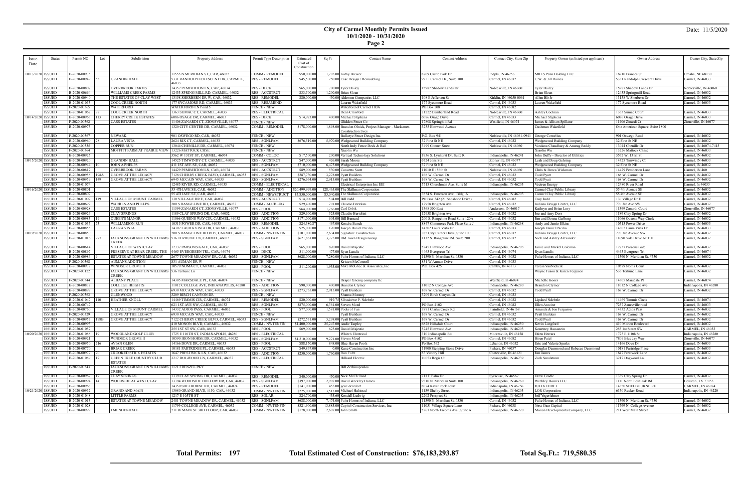## **City of Carmel Monthly Permits Issued 10/1/2020 - 10/31/2020**

|--|

| <i>ssue</i>       | Status        | Permit NO           | Lot           | Subdivision                                           | Property Address                                           | Permit Type Description | Estimated       | Sq Ft<br><b>Contact Name</b>                        | <b>Contact Address</b>           | Contact City, State Zip    | Property Owner (as listed per applicant) | Owner Address                   | Owner City, State Zip  |
|-------------------|---------------|---------------------|---------------|-------------------------------------------------------|------------------------------------------------------------|-------------------------|-----------------|-----------------------------------------------------|----------------------------------|----------------------------|------------------------------------------|---------------------------------|------------------------|
|                   |               |                     |               |                                                       |                                                            |                         | Cost of         |                                                     |                                  |                            |                                          |                                 |                        |
| Date              |               |                     |               |                                                       |                                                            |                         | Construction    |                                                     |                                  |                            |                                          |                                 |                        |
|                   |               |                     |               |                                                       |                                                            |                         |                 |                                                     |                                  |                            |                                          |                                 |                        |
| 10/13/2020 ISSUED |               | B-2020-00935        |               |                                                       | 11555 N MERIDIAN ST, CAR, 46032                            | COMM - REMODEI          | \$50,000.0      | 1,205.00 Kathy Brewer                               | 8709 Castle Park Dr              | ndpls, IN 46256            | MRES Penn Holding LLC                    | 16910 Frances St                | Omaha, NE 68130        |
|                   | ISSUED        | B-2020-00949        |               | <b>GRANDIN HALL</b>                                   | 5331 RANDOLPH CRESCENT DR, CARMEL                          | <b>RES - REMODEL</b>    | \$45,500.00     | 250.00 Case Design / Remodeling                     | 99 E. Carmel Dr., Suite 100      | Carmel, IN 46032           | C.W. & Jill Raines                       | 5331 Randolph Crescent Drive    | Carmel, IN 46033       |
|                   |               |                     |               |                                                       | 46033                                                      |                         |                 |                                                     |                                  |                            |                                          |                                 |                        |
|                   | <b>ISSUED</b> | B-2020-00807        |               | OVERBROOK FARMS                                       | 14352 PEMBERTON LN, CAR, 46074                             | <b>RES - DECK</b>       | \$65,000.00     | 700.00 Tyler Dailey                                 | 15987 Shadow Lands Dr            | Noblesville, IN 46060      | <b>Tyler Dailey</b>                      | 15987 Shadow Lands Dr           | Noblesville, IN 46060  |
|                   | ISSUED        | B-2020-00664        |               | <b>WILLIAMS CREEK FARMS</b>                           | 12433 SPRING MILL RD, CARMEL, 46032                        | <b>RES - ACCSTRCT</b>   | \$33,500.00     | 1.200.00 Brian Sloan                                |                                  |                            | <b>Brian Sloan</b>                       | 12433 Springmill Road           | Carmel, IN 46032       |
|                   | <b>ISSUED</b> | B-2020-00940        |               | THE ESTATES OF CLAY WEST                              | 13158 SHERBERN DR W, CAR, 46032                            | <b>RES - REMODEL</b>    | \$80,000.0      | 450.00 Alderson Companies LLC                       | 108 E Jefferson St               | Kirklin, IN 46050-006      | Allen BIr Jr                             | 13158 W Sherbern Dr             | Carmel, IN 46032       |
|                   | <b>ISSUED</b> | B-2020-01053        |               | COOL CREEK NORTH                                      | 177 SYCAMORE RD, CARMEL, 46033                             | <b>RES - RESAMEND</b>   |                 | Lauren Wakefield                                    | 177 Sycamore Road                | Carmel, IN 46033           | Lauren Wakefield                         | 177 Sycamore Road               | Carmel, IN 46033       |
|                   | <b>ISSUED</b> | F-2020-00365        |               | WATERFORD                                             | WATERFORD LN Pond 5                                        | <b>FENCE - NEW</b>      |                 | Waterford of Carmel HOA                             | PO Box 208                       | Carmel, IN 46082           |                                          |                                 |                        |
|                   | <b>ISSUED</b> | B-2020-01062        |               | COOL CREEK NORTH                                      | 1363 SUMAC CT, CARMEL, 46033                               | <b>RES - ELECTRICAL</b> |                 | Dean Crawford                                       | 21222 Cumberland Road            | Noblesville, IN 46060      | Ashley Cochran                           | 1363 Sumac Court                | Carmel, IN 46033       |
| 10/14/2020 ISSUED |               | B-2020-00963        | 113           | <b>CHERRY CREEK ESTATES</b>                           | 6086 OSAGE DR, CARMEL, 46033                               | <b>RES - DECK</b>       | \$14,973.00     | 400.00 Michael Stephens                             | 6086 Osage Drive                 | Carmel, IN 46033           | Michael Stephens                         | 6086 Osage Drive                | Carmel, IN 46033       |
|                   | <b>ISSUED</b> | F-2020-00362        |               | CASS ESTATES                                          | 11406 ZANARDI CT, ZIONSVILLE, 46077                        | <b>FENCE - NEW</b>      |                 | Glidden Fence Co                                    | 17808 Springhill Rd              | Westfield, IN 46074        | James & Allison Spillane                 | 11406 Zinardi Ct                | Zionsville, IN 46077   |
|                   | <b>ISSUED</b> | B-2020-00973        |               |                                                       | 1320 CITY CENTER DR, CARMEL, 46032                         | <b>COMM - REMODEL</b>   | \$178,000.00    | 1,898.00 Brandon Olnick, Project Manager - Marksmen | 5235 Elmwood Avenue              |                            | Cushman Wakefield                        | One American Square, Suite 1800 |                        |
|                   |               |                     |               |                                                       |                                                            |                         |                 | <b>Construction Svcs</b>                            |                                  |                            |                                          |                                 |                        |
|                   | <b>ISSUED</b> | F-2020-00367        |               | <b>NEWARK</b>                                         | 901 OSWEGO RD, CAR, 46032                                  | <b>FENCE - NEW</b>      |                 | Bullseye Fence Design Inc.                          | P.O. Box 941                     | Noblesville, IN 46061-0941 | George Cornelius                         | 901 Oswego Road                 | Carmel, IN 46032       |
|                   | <b>ISSUED</b> | B-2020-00960        |               | LAURA VISTA                                           | 2624 RIX CT, CARMEL, 46033                                 | <b>RES - SGNLFAM</b>    | \$676,519.00    | 5,970.00 Wedgewood Building Company                 | 32 First St NE                   | Carmel, IN 46032           | Wedgewood Building Company               | 32 First St NE                  | Carmel, IN 46032       |
|                   | <b>ISSUED</b> | F-2020-00335        |               | COPPER RUN                                            | 13044 CHENILLE DR, CARMEL, 46074                           | <b>FENCE - NEW</b>      |                 | North Indy Fence Deck & Rail                        | 3499 Conner Street               | Noblesville, IN 46060      | Vandana Chaudhary & Anurag Reddy         | 13044 Chenille Dr               | Carmel, IN 46074-7415  |
|                   | <b>ISSUED</b> | F-2020-00364        |               | MOFFITT FARM AT PRAIRIE VIEW                          | 13226 MATTOCK CHSE                                         | FENCE - NEW             |                 | Xiaolin Wu                                          |                                  |                            | Xiaolin Wu                               | 13226 Mattock Chase             | Carmel, IN 46033       |
|                   | <b>ISSUED</b> | B-2020-00925        |               |                                                       | 3562 W 131ST ST, CARMEL, 46074                             | COMM - COLOC            | \$17,500.00     | 200.00 Vertical Technology Solutions                | 1936 S. Lynhurst Dr. Suite R     | ndianapolis, IN 46241      | John Duffy - Director of Utilities       | 3562 W. 131st St.               | Carmel, IN 46032       |
| 10/15/2020 ISSUED |               | B-2020-00920        |               | <b>GRANDIN HALL</b>                                   | 14525 TIMWINDY CT, CARMEL, 46033                           | <b>RES-ACCSTRCT</b>     | \$47,000.00     | 426.00 Sarah Moore                                  | 6724 Jons Sta                    | Zionsville, IN 46077       | Leah and Doug Gehring                    | 14325 Timwindy Ct               | Carmel, IN 46033       |
|                   | <b>ISSUED</b> | B-2020-00944        |               | <b>JOHN A PHELPS</b>                                  | 411 1ST AVE SE, CAR, 46032                                 | <b>RES - SGNLFAM</b>    | \$710,000.00    | 6,475.00 Wedgewood Building Company                 | 32 First St NE                   | Carmel, IN 46032           | Wedgewood Building Company               | 32 First St NE                  | Carmel, IN 46032       |
|                   | <b>ISSUED</b> | B-2020-00812        |               | OVERBROOK FARMS                                       | 14429 PEMBERTON LN, CAR, 46074                             | <b>RES-ACCSTRCT</b>     | \$89,000.0      | 530.00 Concetta Scott                               | 11010 E 156th St                 | Noblesville, IN 46060      | Chris & Becca Wickman                    | 14429 Pemberton Lane            | Carmel, IN 460         |
|                   | <b>ISSUED</b> | B-2020-00958        | 198A          | GROVE AT THE LEGACY                                   | 7128 CHERRY CREEK BLVD, CARMEL, 46033                      | <b>RES - SGNLFAM</b>    | \$287,730.00    | 3,278.00 Pyatt Builders                             | 168 W. Carmel Dr                 | Carmel, IN 46032           | <b>Todd Pyatt</b>                        | 168 W. Carmel Dr                | Carmel, IN 46032       |
|                   | <b>ISSUED</b> | B-2020-00959        | 149           | <b>GROVE AT THE LEGACY</b>                            | 6945 MCCAIN WAY, CAR, 46033                                | <b>RES - SGNLFAM</b>    | \$276,664.00    | 2,915.00 Pyatt Builders                             | 168 W. Carmel Dr                 | Carmel, IN 46032           | Todd Pyatt                               | 168 W. Carmel Dr                | Carmel, IN 46032       |
|                   | <b>ISSUED</b> | B-2020-01074        |               |                                                       | 12485 RIVER RD, CARMEL, 46033                              | COMM - ELECTRICAL       |                 | Electrical Enterprises Inc EEI                      | 5715 Churchman Ave. Suite M      | ndianapolis, IN 46203      | Vectren Energy                           | 12480 River Road                | Carmel, In 46033       |
| 10/16/2020 ISSUED |               | B-2020-00801        |               |                                                       | 55 4TH AVE SE, CAR, 46032                                  |                         | \$20,499,999.00 | 128,465.00 The Skillman Corporation                 |                                  |                            | Carmel Clay Public Library               | 55 4th Avenue SE                | Carmel, IN 46032       |
|                   |               |                     |               |                                                       |                                                            | COMM - ADDITION         |                 |                                                     |                                  |                            |                                          |                                 |                        |
|                   | <b>ISSUED</b> | B-2020-00802        |               |                                                       | 55 4TH AVE SE, CAR, 46032                                  | COMM - NEWSTRUCT        | \$5,850,000.00  | 85,040.00 The Skillman Corporation                  | 3834 S. Emerson Ave., Bldg. A    | ndianapolis, IN 46203      | Carmel Clay Public Library               | 55 4th Avenue SE                | Carmel, IN 46032       |
|                   | <b>ISSUED</b> | B-2020-01002        | 119           | VILLAGE OF MOUNT CARMEL                               | 130 VILLAGE DR E, CAR, 46032                               | <b>RES - ACCSTRCT</b>   | \$14,000.0      | 504.00 Bill Judd                                    | PO Box 342 (21 Shoshone Drive)   | Carmel, IN 46082           | Troy Judd                                | 130 Village Dr E                | Carmel, IN 46032       |
|                   | <b>ISSUED</b> | B-2020-00692        |               | WARREN AND PHELPS                                     | 200 S RANGELINE RD, CARMEL, 46032                          | COMM - ACCBLDG          | \$29,400.00     | 201.00 Claudio Bertolini                            | 12958 Brighton Ave               | Carmel, IN 46032           | Indiana Design Center, LLC               | 770 3rd Ave SW                  | Carmel, IN 46032       |
|                   | <b>ISSUED</b> | B-2020-00928        |               | <b>CASS ESTATES</b>                                   | 11399 ZANARDI CT, ZIONSVILLE, 46077                        | <b>RES-POOL</b>         | \$64,000.00     | 1,266.00 Carl Orbik                                 | 1368 300 East                    | Anderson, IN 46017         | Kathryn and Brian Lory                   | 11399 Zanardi Court             | Zionsville, IN 46077   |
|                   | <b>ISSUED</b> | B-2020-00926        |               | <b>CLAY SPRINGS</b>                                   | 1189 CLAY SPRING DR. CAR. 46032                            | <b>RES - ADDITION</b>   | \$29,600.0      | 325.00 Claudio Bertolini                            | 12958 Brighton Ave               | Carmel, IN 46032           | Joe and Amy Dorr                         | 1189 Clay Spring Dr             | Carmel, IN 46032       |
|                   | <b>ISSUED</b> | B-2020-00983   19   |               | <b>QUEEN'S MANOR</b>                                  | 11066 QUEENS WAY CIR, CARMEL, 46032                        | <b>RES - ADDITION</b>   | \$171,000.00    | 604.00 Bill Bernard                                 | 200 S. Rangeline Road Suite 120A | Carmel, IN 46032           | Jim and Donna Carlberg                   | 11066 Queens Way Circle         | Carmel, IN 46032       |
|                   | <b>ISSUED</b> | B-2020-01035        |               | <b>WILLIAMSON RUN</b>                                 | 10515 POWER DR, CAR, 46033                                 | <b>RES - REMODEL</b>    | \$24,380.87     | 467.00 Kendra Bunch                                 | 8847 Commerce Park Place Suite J | ndianapolis, IN 46268      | Andy and Jamie Elkins                    | 10515 Power Drive               | Carmel, IN 46033       |
|                   | <b>ISSUED</b> | B-2020-00855        |               | LAURA VISTA                                           | 14302 LAURA VISTA DR, CARMEL, 46033                        | <b>RES - ADDITION</b>   | \$25,000.00     | 120.00 Joseph Daniel Pacilio                        | 14302 Laura Vista Dr             | Carmel, IN 46033           | Joseph Daniel Pacilio                    | 14302 Laura Vista Dı            | Carmel, IN 46033       |
| 10/19/2020 ISSUED |               | B-2020-00850        |               |                                                       | 200 S RANGELINE RD #115, CARMEL, 46032                     | <b>COMM - NWTENFIN</b>  | \$101,000.00    | 2,634.00 Signature Construction                     | 385 City Center Drive, Suite 100 | Carmel, IN 46032           | Indiana Design Center, LLC               | 770 3rd Avenue SW               | Carmel, IN 46032       |
|                   | <b>ISSUED</b> | B-2020-01016 277    |               |                                                       | JACKSONS GRANT ON WILLIAMS   516 TERHUNE LN, CARMEL, 46032 | <b>RES - SGNLFAM</b>    | \$621,861.00    | 3,775.00 Old Town Design Group                      | 1132 S. Rangeline Rd. Suite 200  | Carmel, IN 46032           | Nick and Ashley Alexander                | 11690 Yale Drive APT 1F         | Carmel, IN 46032       |
|                   |               |                     |               | <b>CREEK</b>                                          |                                                            |                         |                 |                                                     |                                  |                            |                                          |                                 |                        |
|                   | <b>ISSUED</b> | B-2020-00614        |               | <b>VILLAGE OF WESTCLAY</b>                            | 12737 PARSONS GATE, CAR, 46032                             | RES - POOL              | \$65,000.0      | 870.00 Daniel Majestic                              | 5245 Elmwood Ave                 | ndianapolis, IN 46203      | Jamie and Markel Coleman                 | 12737 Parsons Gate              | Carmel, IN 46032       |
|                   | <b>ISSUED</b> | B-2020-00897        |               | PRESERVE AT BEAR CREEK, THE                           | 4465 EVERGREEN TRL, CAR, 46074                             | <b>RES - DECK</b>       | \$11,000.0      | 477.00 Ryan Landis                                  | 4465 Evergreen Trl               | Carmel, IN 46074           | Ryan Landis                              | 4465 Evergreen Trl              | Carmel, IN 46074       |
|                   | <b>ISSUED</b> | B-2020-00986        |               | <b>ESTATES AT TOWNE MEADOW</b>                        | 2677 TOWNE MEADOW DR, CAR, 46032                           | <b>RES - SGNLFAM</b>    | \$628,000.00    | 7,280.00 Pulte Homes of Indiana, LLC                | 11590 N. Meridian St. #530       | Carmel, IN 46032           | Pulte Homes of Indiana, LLC              | 11590 N. Meridian St. #530      | Carmel, IN 46032       |
|                   | <b>ISSUED</b> | F-2020-00368        |               | <b>AUMANS ADDITION</b>                                | 831 AUMAN DR V                                             | <b>FENCE - NEW</b>      |                 | Kristen McConnell                                   | 831 W Auman Drive                | Carmel, IN 46033           |                                          |                                 |                        |
|                   | <b>ISSUED</b> | B-2020-00932        |               | WINDSOR GROVE II                                      | 10579 NOMA CT, CARMEL, 46032                               | <b>RES-POOL</b>         | \$11,200.00     | 1,935.00 Mike McGhee & Associates, Inc.             | P.O. Box 425                     | Camby, IN 46113            | Teresa VanNiekerk                        | 10579 Noma Court                | Carmel, IN 46032       |
|                   | ISSUED        | F-2020-00122        |               | JACKSONS GRANT ON WILLIAMS   536 Terhune Ln           |                                                            | <b>FENCE - NEW</b>      |                 |                                                     |                                  |                            | Wayne Fuson & Karen Ferguson             | 536 Terhune Lane                | Carmel, IN 46032       |
|                   |               |                     |               | CREEK                                                 |                                                            |                         |                 |                                                     |                                  |                            |                                          |                                 |                        |
|                   | <b>ISSUED</b> | F-2020-00344        |               | ALBANY PLACE                                          | 14305 MARSDALE PL, CAR, 46074                              | <b>FENCE - NEW</b>      |                 | Draper fencing company llc                          |                                  | Westfield, In 46074        | Michelle Koors                           | 14305 Marsdale Pl               | Carmel, IN 46074       |
|                   | <b>ISSUED</b> | B-2020-00837        |               | COLLEGE HEIGHTS                                       | 11012 COLLEGE AVE, INDIANAPOLIS, 46280                     | <b>RES - ADDITION</b>   | \$90,000.00     | 400.00 Brandon Clymer                               | 11012 N College Ave              | ndianapolis, IN 46280      | <b>Brandon Clymer</b>                    | 11012 N College Ave             | Indianapolis, IN 46280 |
|                   | <b>ISSUED</b> | B-2020-00899        |               | <b>GROVE AT THE LEGACY</b>                            | 6930 MCCAIN WAY, CAR, 46033                                | <b>RES - SGNLFAM</b>    | \$273,765.00    | 2,915.00 Pyatt Builders                             | 168 W. Carmel Dr                 | Carmel, IN 46032           | Todd Pyatt                               | 168 W. Carmel Dr                | Carmel, IN 46032       |
|                   | <b>ISSUED</b> | F-2020-00363        |               | GLENWOOD                                              | 3209 BIRCH CANYON DR                                       | <b>FENCE - NEW</b>      |                 | Shanna Mooney                                       | 3209 Birch Canyon Dr.            | Carmel, IN 46033           |                                          |                                 |                        |
|                   | <b>ISSUED</b> | B-2020-01047        | $ 110\rangle$ | HEATHER KNOLL                                         | 14469 TIMMIS CIR, CARMEL, 46074                            | <b>RES - REMODEL</b>    | \$20,000.00     | 919.75 SIbusisiwe P. Ndebele                        |                                  | Carmel, IN 46032           | <b>Lipshed Ndebele</b>                   | 14469 Timmis Circle             | Carmel, IN 46074       |
|                   | <b>ISSUED</b> | B-2020-00747        |               |                                                       | 621 1ST AVE NW, CARMEL, 46032                              | <b>RES - SGNLFAM</b>    | \$875,000.00    | 6,361.00 Steven Moed                                | PO Box 4102                      | Carmel, IN 46082           | Ellen Antoine                            | 7257 Zanesville road            | Carmel, IN 46033       |
|                   | <b>ISSUED</b> | B-2020-00760        |               |                                                       | 14332 ADIOS PASS, CARMEL, 46032                            | RES - POOL              | \$77,000.00     | 1,581.00 Pools of Fun                               | 3891 Clarks Creek Rd             | Plainfield, IN 46168       |                                          | 14332 Adios Pass                | Carmel, IN 46032       |
|                   | <b>ISSUED</b> | F-2020-00329        |               | VILLAGE OF MOUNT CARMEL<br><b>GROVE AT THE LEGACY</b> | 6930 MCCAIN WAY, CAR, 46033                                | <b>FENCE - NEW</b>      |                 | <b>Pyatt Builders</b>                               | 168 W. Carmel Dr                 | Carmel, IN 46032           | Amanda & Jon Ferguson<br>Pyatt Builders  | 168 W. Carmel Dr                | Carmel, IN 46032       |
|                   |               |                     |               |                                                       |                                                            |                         |                 |                                                     |                                  |                            |                                          |                                 |                        |
|                   | <b>ISSUED</b> | B-2020-00957   198B |               | <b>GROVE AT THE LEGACY</b>                            | 7122 CHERRY CREEK BLVD, CARMEL, 46033 RES - SGNLFAM        |                         | \$272,531.00    | 3.298.00 Pvatt Builders                             | 168 W. Carmel Dr                 | Carmel, IN 46032           | Todd Pyatt                               | 168 W. Carmel Dr                | Carmel, IN 46032       |
|                   | <b>ISSUED</b> | B-2020-00993        |               |                                                       | 410 MONON BLVD, CARMEL, 46032                              | <b>COMM - NWTENFIN</b>  | \$1,400,000.00  | 25,247.00 Audie Tarpley                             | 6828 Hillsdale Court             | Indianapolis, IN 46250     | Kevin Langford                           | 410 Monon Boulevard             | Carmel, IN 46032       |
|                   | <b>ISSUED</b> | B-2020-01052        |               |                                                       | 255 1ST ST SW, CAR, 46032                                  | RES - POOL              | \$69,000.00     | 625.00 Daniel Majestic                              | 5245 Elmwood Ave                 | Indianapolis, IN 46203     | Kourtney Hassanein                       | 255 1st Street SW               | CARMEL, IN 46032       |
| 10/20/2020 ISSUED |               | B-2020-01088  19    |               | WOODLAND GOLF CLUB                                    | 1725 E 110TH ST, INDIANAPOLIS, 46280                       | <b>RES - ELECTRICAL</b> |                 | White's Electrical                                  | 310 Indianapolis Rd              | Mooresville, IN 46158      | Efren Herrara                            | 1725 E 110th St                 | Indianapolis, IN 46280 |
|                   | ISSUED        | B-2020-00921        |               | WINDSOR GROVE II                                      | 10590 IRON HORSE DR, CARMEL, 46032                         | <b>RES - SGNLFAM</b>    | \$1,210,000.00  | 9,221.00 Steven Moed                                | <b>PO Box 4102</b>               | Carmel, IN 46082           | Hiren Patel                              | 7809 Blue Jay Way               | Zionsville, IN 46077   |
|                   | ISSUED        | $B-2020-00950$ 216  |               | <b>AVIAN GLEN</b>                                     | 14166 DOVE DR, CARMEL, 46033                               | RES - POOL              | \$88,150.00     | 848.00 Blue Haven Pools                             | Po Box 562                       | Lebanon, IN 46052          | Eric and Valerie Sparks                  | 14166 Dove Dr                   | Carmel, IN 46033       |
|                   | <b>ISSUED</b> | B-2020-00770        |               | <b>BRIAR CREEK</b>                                    | 10181 PARTRIDGE PL, CARMEL, 46033                          | <b>RES-ACCSTRCT</b>     | \$49,867.00     | 0.00 Kane Construction Inc                          | 11900 Stepping Stone Drive       | Fishers, IN 46037          | Douglas Dearmond and Rebecca Dearmond    | 10181 Partridge Place           | Carmel, IN 46033       |
|                   | <b>ISSUED</b> | B-2020-00977        |               | <b>CROOKED STICK ESTATES</b>                          | 1647 PRESTWICK LN, CAR, 46032                              | <b>RES-ADDITION</b>     | \$250,000.00    | 1,760.00 Ron Fultz                                  | 83 Victory Hill                  | Coatesville, IN 46121      | Jim James                                | 1647 Prestwick Lane             | Carmel, IN 46032       |
|                   | <b>ISSUED</b> | B-2020-01089        |               | <b>GREEN TREE COUNTRY CLUB</b>                        | 3217 DOGWOOD LN, CARMEL, 46032                             | <b>RES - ELECTRICAL</b> |                 | Hilliard Electric                                   | 10653 Regis Ct.                  | Indianapolis, IN 46239     | Zack Sundstrom                           | 3217 Dogwood Ln.                | Carmel, IN 46032       |
|                   |               |                     |               | <b>ESTATES</b>                                        |                                                            |                         |                 |                                                     |                                  |                            |                                          |                                 |                        |
|                   | <b>ISSUED</b> | F-2020-00343        |               | JACKSONS GRANT ON WILLIAMS   1121 FRENZEL PKY         |                                                            | <b>FENCE - NEW</b>      |                 | <b>Bill Zerbinopoulos</b>                           |                                  |                            |                                          |                                 |                        |
|                   |               |                     |               | <b>CREEK</b>                                          |                                                            |                         |                 |                                                     |                                  |                            |                                          |                                 |                        |
|                   | <b>ISSUED</b> | B-2020-00967        |               | <b>CLAY SPRINGS</b>                                   | 1339 CLAY SPRING DR, CARMEL, 46032                         | <b>RES - REMODEL</b>    | \$40,000.00     | 450.00 Nick McClelland                              | 211 E Palm Dr                    | Syracuse, IN 46567         | Drew Gradle                              | 1339 Clay Spring Dr.            | Carmel, IN 46032       |
|                   | <b>ISSUED</b> | B-2020-00994        |               | WOODSIDE AT WEST CLAY                                 | 13794 WOODSIDE HOLLOW DR, CAR, 46032                       | <b>RES - SGNLFAM</b>    | \$397,000.00    | 2,907.00 David Weekley Homes                        | 9310 N. Meridian Suite 100       | ndianapolis, IN 46260      | Weekley Homes LLC                        | 1111 North Post Oak Rd          | Houston, TX 77055      |
|                   | <b>ISSUED</b> | B-2020-00968        |               |                                                       | 14350 SHELBORNE RD, CARMEL, 46074                          | <b>RES - REMODEL</b>    | \$141,000.00    | 455.00 gene deardorf                                | 8074 Raven rock court            | indianapolis, IN 46256     | JULIA EHRET                              | 14350 SHELBOURNE RD             | CARMEL, IN 46074       |
| 10/21/2020 ISSUED |               | B-2020-00952        |               | <b>GRAND AND MAIN</b>                                 | 13080 GRAND BLVD, #150, CAR, 46032                         | <b>COMM - NWTENFIN</b>  | \$225,000.00    | 3.513.00 Michael Halstead                           | 1139 Shelby Street               | Indianapolis, IN 46203     | <b>LOR</b> Corporation                   | 6350 Rucker Road                | Indianapolis, IN 46220 |
|                   | ISSUED        | B-2020-01048        |               | <b>LITTLE FARMS</b>                                   | 1217 E 105TH ST                                            | <b>RES - SOLAR</b>      | \$24,700.0      | 435.60 Kendall Ludwig                               | 2202 Prospect St                 | Indianapolis, IN 46203     | Jeff Yegerlehner                         |                                 |                        |
|                   | <b>ISSUED</b> | $B-2020-01013$      |               | <b>ESTATES AT TOWNE MEADOW</b>                        | 2481 TOWNE MEADOW DR, CARMEL, 46032   RES - SGNLFAM        |                         | \$688,000.00    | 7,474.00 Pulte Homes of Indiana, LLC                | 11590 N. Meridian St. #530       | Carmel, IN 46032           | Pulte Homes of Indiana, LLC              | 11590 N. Meridian St. #530      | Carmel, IN 46032       |
|                   | <b>ISSUED</b> | B-2020-01028        |               |                                                       | 11799 COLLEGE AVE, CARMEL, 46032                           | <b>COMM - NWTENFIN</b>  | \$321,900.00    | 13,885.00 Capitol Construction Services, Inc.       | 11051 Village Square Lane        | Fishers, IN 46038          | Next Gear Capital                        | 11799 N. College Avenue         | Carmel, IN 46032       |
|                   | <b>ISSUED</b> | B-2020-00999        |               | <b>I MENDENHALL</b>                                   | 211 W MAIN ST 3RD FLOOR, CAR, 46032                        | COMM - NWTENFIN         | \$178,000.00    | 2,607.00 John Smith                                 | 5261 North Tacoma Ave., Suite A  | Indianapolis, IN 46220     | Monon Developments Company, LLC          | 211 West Main Street            | Carmel, IN 46032       |
|                   |               |                     |               |                                                       |                                                            |                         |                 |                                                     |                                  |                            |                                          |                                 |                        |